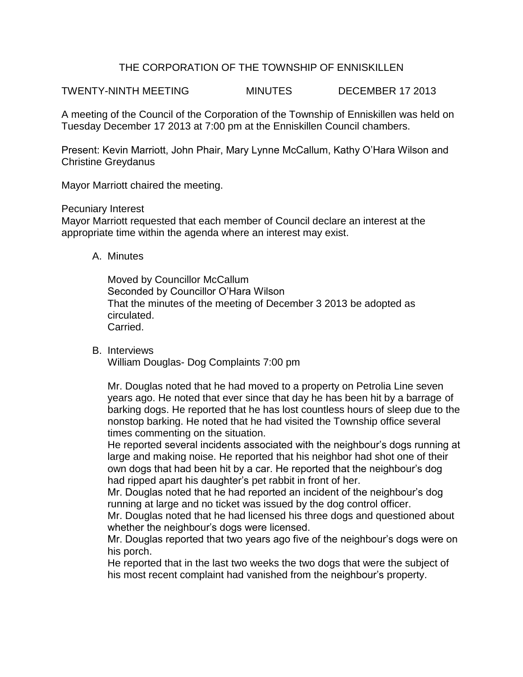## THE CORPORATION OF THE TOWNSHIP OF ENNISKILLEN

TWENTY-NINTH MEETING MINUTES DECEMBER 17 2013

A meeting of the Council of the Corporation of the Township of Enniskillen was held on Tuesday December 17 2013 at 7:00 pm at the Enniskillen Council chambers.

Present: Kevin Marriott, John Phair, Mary Lynne McCallum, Kathy O'Hara Wilson and Christine Greydanus

Mayor Marriott chaired the meeting.

Pecuniary Interest

Mayor Marriott requested that each member of Council declare an interest at the appropriate time within the agenda where an interest may exist.

A. Minutes

Moved by Councillor McCallum Seconded by Councillor O'Hara Wilson That the minutes of the meeting of December 3 2013 be adopted as circulated. Carried.

B. Interviews

William Douglas- Dog Complaints 7:00 pm

Mr. Douglas noted that he had moved to a property on Petrolia Line seven years ago. He noted that ever since that day he has been hit by a barrage of barking dogs. He reported that he has lost countless hours of sleep due to the nonstop barking. He noted that he had visited the Township office several times commenting on the situation.

He reported several incidents associated with the neighbour's dogs running at large and making noise. He reported that his neighbor had shot one of their own dogs that had been hit by a car. He reported that the neighbour's dog had ripped apart his daughter's pet rabbit in front of her.

Mr. Douglas noted that he had reported an incident of the neighbour's dog running at large and no ticket was issued by the dog control officer.

Mr. Douglas noted that he had licensed his three dogs and questioned about whether the neighbour's dogs were licensed.

Mr. Douglas reported that two years ago five of the neighbour's dogs were on his porch.

He reported that in the last two weeks the two dogs that were the subject of his most recent complaint had vanished from the neighbour's property.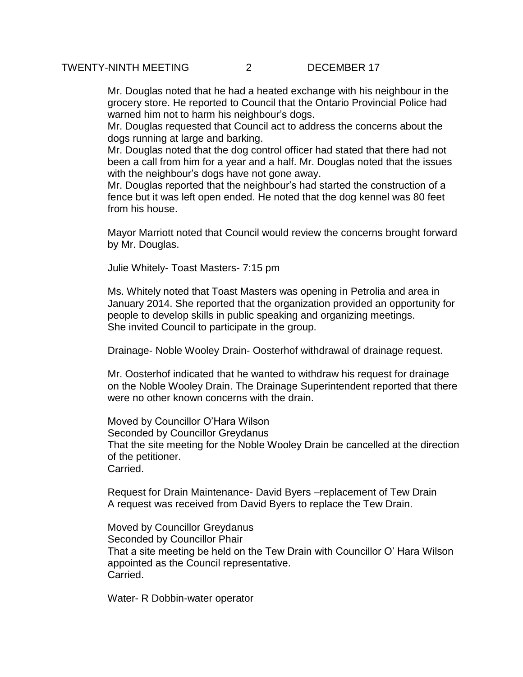Mr. Douglas noted that he had a heated exchange with his neighbour in the grocery store. He reported to Council that the Ontario Provincial Police had warned him not to harm his neighbour's dogs.

Mr. Douglas requested that Council act to address the concerns about the dogs running at large and barking.

Mr. Douglas noted that the dog control officer had stated that there had not been a call from him for a year and a half. Mr. Douglas noted that the issues with the neighbour's dogs have not gone away.

Mr. Douglas reported that the neighbour's had started the construction of a fence but it was left open ended. He noted that the dog kennel was 80 feet from his house.

Mayor Marriott noted that Council would review the concerns brought forward by Mr. Douglas.

Julie Whitely- Toast Masters- 7:15 pm

Ms. Whitely noted that Toast Masters was opening in Petrolia and area in January 2014. She reported that the organization provided an opportunity for people to develop skills in public speaking and organizing meetings. She invited Council to participate in the group.

Drainage- Noble Wooley Drain- Oosterhof withdrawal of drainage request.

Mr. Oosterhof indicated that he wanted to withdraw his request for drainage on the Noble Wooley Drain. The Drainage Superintendent reported that there were no other known concerns with the drain.

Moved by Councillor O'Hara Wilson Seconded by Councillor Greydanus That the site meeting for the Noble Wooley Drain be cancelled at the direction of the petitioner. Carried.

Request for Drain Maintenance- David Byers –replacement of Tew Drain A request was received from David Byers to replace the Tew Drain.

Moved by Councillor Greydanus Seconded by Councillor Phair That a site meeting be held on the Tew Drain with Councillor O' Hara Wilson appointed as the Council representative. Carried.

Water- R Dobbin-water operator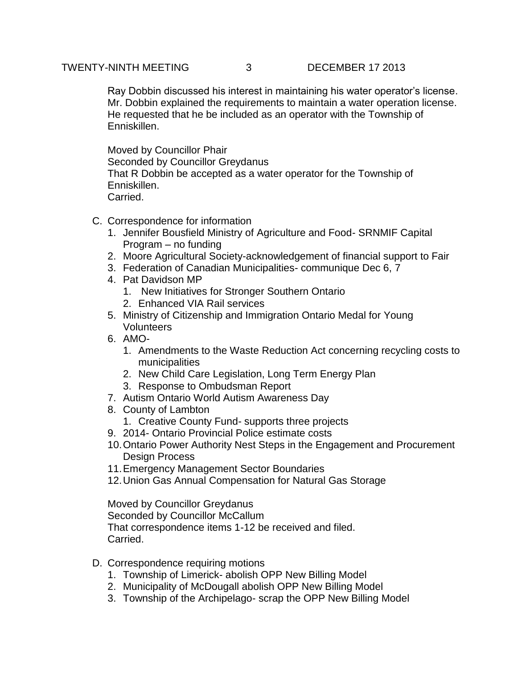Ray Dobbin discussed his interest in maintaining his water operator's license. Mr. Dobbin explained the requirements to maintain a water operation license. He requested that he be included as an operator with the Township of Enniskillen.

Moved by Councillor Phair Seconded by Councillor Greydanus That R Dobbin be accepted as a water operator for the Township of Enniskillen. Carried.

- C. Correspondence for information
	- 1. Jennifer Bousfield Ministry of Agriculture and Food- SRNMIF Capital Program – no funding
	- 2. Moore Agricultural Society-acknowledgement of financial support to Fair
	- 3. Federation of Canadian Municipalities- communique Dec 6, 7
	- 4. Pat Davidson MP
		- 1. New Initiatives for Stronger Southern Ontario
		- 2. Enhanced VIA Rail services
	- 5. Ministry of Citizenship and Immigration Ontario Medal for Young Volunteers
	- 6. AMO-
		- 1. Amendments to the Waste Reduction Act concerning recycling costs to municipalities
		- 2. New Child Care Legislation, Long Term Energy Plan
		- 3. Response to Ombudsman Report
	- 7. Autism Ontario World Autism Awareness Day
	- 8. County of Lambton
		- 1. Creative County Fund- supports three projects
	- 9. 2014- Ontario Provincial Police estimate costs
	- 10.Ontario Power Authority Nest Steps in the Engagement and Procurement Design Process
	- 11.Emergency Management Sector Boundaries
	- 12.Union Gas Annual Compensation for Natural Gas Storage

Moved by Councillor Greydanus Seconded by Councillor McCallum That correspondence items 1-12 be received and filed. Carried.

- D. Correspondence requiring motions
	- 1. Township of Limerick- abolish OPP New Billing Model
	- 2. Municipality of McDougall abolish OPP New Billing Model
	- 3. Township of the Archipelago- scrap the OPP New Billing Model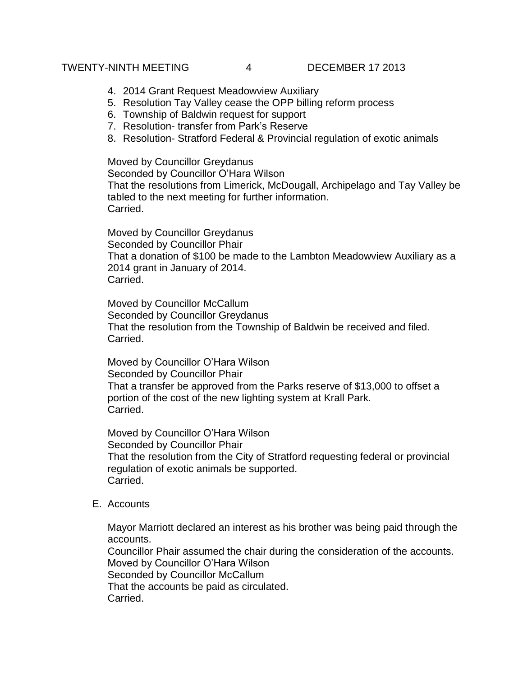## TWENTY-NINTH MEETING 4 DECEMBER 17 2013

- 4. 2014 Grant Request Meadowview Auxiliary
- 5. Resolution Tay Valley cease the OPP billing reform process
- 6. Township of Baldwin request for support
- 7. Resolution- transfer from Park's Reserve
- 8. Resolution- Stratford Federal & Provincial regulation of exotic animals

Moved by Councillor Greydanus

Seconded by Councillor O'Hara Wilson That the resolutions from Limerick, McDougall, Archipelago and Tay Valley be tabled to the next meeting for further information. Carried.

Moved by Councillor Greydanus Seconded by Councillor Phair That a donation of \$100 be made to the Lambton Meadowview Auxiliary as a 2014 grant in January of 2014. Carried.

Moved by Councillor McCallum Seconded by Councillor Greydanus That the resolution from the Township of Baldwin be received and filed. Carried.

Moved by Councillor O'Hara Wilson Seconded by Councillor Phair That a transfer be approved from the Parks reserve of \$13,000 to offset a portion of the cost of the new lighting system at Krall Park. Carried.

Moved by Councillor O'Hara Wilson Seconded by Councillor Phair That the resolution from the City of Stratford requesting federal or provincial regulation of exotic animals be supported. Carried.

E. Accounts

Mayor Marriott declared an interest as his brother was being paid through the accounts.

Councillor Phair assumed the chair during the consideration of the accounts. Moved by Councillor O'Hara Wilson Seconded by Councillor McCallum That the accounts be paid as circulated. Carried.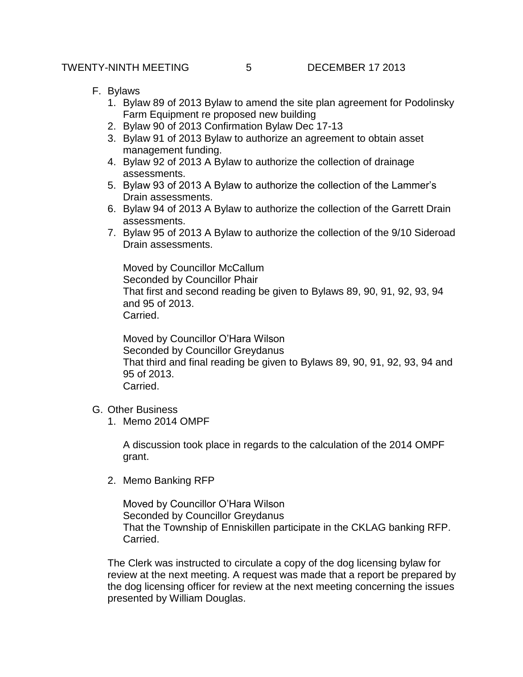- F. Bylaws
	- 1. Bylaw 89 of 2013 Bylaw to amend the site plan agreement for Podolinsky Farm Equipment re proposed new building
	- 2. Bylaw 90 of 2013 Confirmation Bylaw Dec 17-13
	- 3. Bylaw 91 of 2013 Bylaw to authorize an agreement to obtain asset management funding.
	- 4. Bylaw 92 of 2013 A Bylaw to authorize the collection of drainage assessments.
	- 5. Bylaw 93 of 2013 A Bylaw to authorize the collection of the Lammer's Drain assessments.
	- 6. Bylaw 94 of 2013 A Bylaw to authorize the collection of the Garrett Drain assessments.
	- 7. Bylaw 95 of 2013 A Bylaw to authorize the collection of the 9/10 Sideroad Drain assessments.

Moved by Councillor McCallum Seconded by Councillor Phair That first and second reading be given to Bylaws 89, 90, 91, 92, 93, 94 and 95 of 2013. Carried.

Moved by Councillor O'Hara Wilson Seconded by Councillor Greydanus That third and final reading be given to Bylaws 89, 90, 91, 92, 93, 94 and 95 of 2013. Carried.

- G. Other Business
	- 1. Memo 2014 OMPF

A discussion took place in regards to the calculation of the 2014 OMPF grant.

2. Memo Banking RFP

Moved by Councillor O'Hara Wilson Seconded by Councillor Greydanus That the Township of Enniskillen participate in the CKLAG banking RFP. Carried.

The Clerk was instructed to circulate a copy of the dog licensing bylaw for review at the next meeting. A request was made that a report be prepared by the dog licensing officer for review at the next meeting concerning the issues presented by William Douglas.